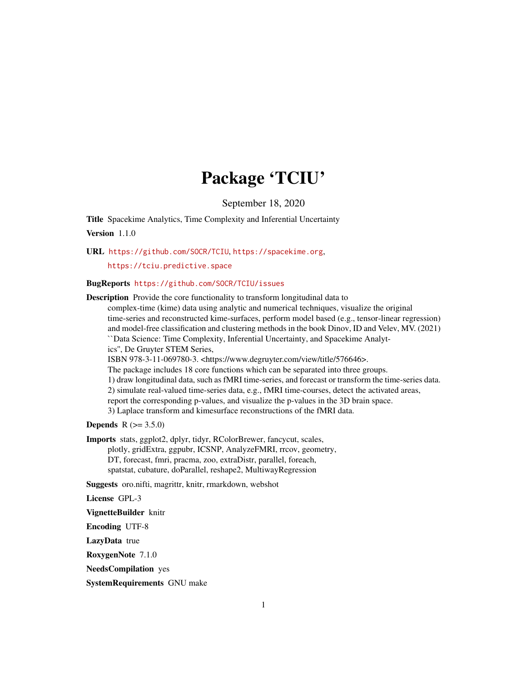# Package 'TCIU'

September 18, 2020

Title Spacekime Analytics, Time Complexity and Inferential Uncertainty Version 1.1.0

URL <https://github.com/SOCR/TCIU>, <https://spacekime.org>,

<https://tciu.predictive.space>

# BugReports <https://github.com/SOCR/TCIU/issues>

Description Provide the core functionality to transform longitudinal data to complex-time (kime) data using analytic and numerical techniques, visualize the original time-series and reconstructed kime-surfaces, perform model based (e.g., tensor-linear regression) and model-free classification and clustering methods in the book Dinov, ID and Velev, MV. (2021) ``Data Science: Time Complexity, Inferential Uncertainty, and Spacekime Analytics'', De Gruyter STEM Series, ISBN 978-3-11-069780-3. <https://www.degruyter.com/view/title/576646>. The package includes 18 core functions which can be separated into three groups. 1) draw longitudinal data, such as fMRI time-series, and forecast or transform the time-series data. 2) simulate real-valued time-series data, e.g., fMRI time-courses, detect the activated areas, report the corresponding p-values, and visualize the p-values in the 3D brain space. 3) Laplace transform and kimesurface reconstructions of the fMRI data.

#### **Depends**  $R (= 3.5.0)$

Imports stats, ggplot2, dplyr, tidyr, RColorBrewer, fancycut, scales,

plotly, gridExtra, ggpubr, ICSNP, AnalyzeFMRI, rrcov, geometry, DT, forecast, fmri, pracma, zoo, extraDistr, parallel, foreach, spatstat, cubature, doParallel, reshape2, MultiwayRegression

Suggests oro.nifti, magrittr, knitr, rmarkdown, webshot

License GPL-3

VignetteBuilder knitr

Encoding UTF-8

LazyData true

RoxygenNote 7.1.0

NeedsCompilation yes

SystemRequirements GNU make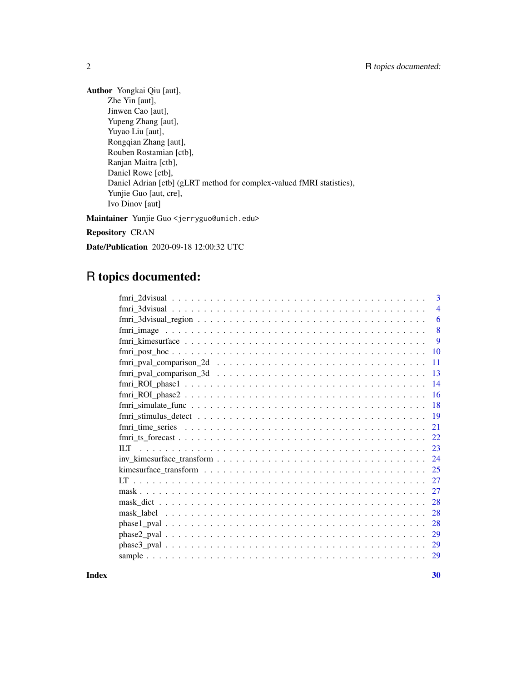Author Yongkai Qiu [aut], Zhe Yin [aut], Jinwen Cao [aut], Yupeng Zhang [aut], Yuyao Liu [aut], Rongqian Zhang [aut], Rouben Rostamian [ctb], Ranjan Maitra [ctb], Daniel Rowe [ctb], Daniel Adrian [ctb] (gLRT method for complex-valued fMRI statistics), Yunjie Guo [aut, cre], Ivo Dinov [aut]

Maintainer Yunjie Guo <jerryguo@umich.edu>

Repository CRAN

Date/Publication 2020-09-18 12:00:32 UTC

# R topics documented:

| 3                                                                                                              |
|----------------------------------------------------------------------------------------------------------------|
| $\overline{4}$                                                                                                 |
| 6                                                                                                              |
| 8                                                                                                              |
| -9                                                                                                             |
| 10                                                                                                             |
| $fmri_pval_{comparison_2d \dots \dots \dots \dots \dots \dots \dots \dots \dots \dots \dots \dots \dots$<br>11 |
| -13                                                                                                            |
| -14                                                                                                            |
| $fmri\_ROI\_phase2 \ldots \ldots \ldots \ldots \ldots \ldots \ldots \ldots \ldots \ldots \ldots$<br>16         |
| 18                                                                                                             |
| -19                                                                                                            |
| 21                                                                                                             |
| 22                                                                                                             |
| 23                                                                                                             |
| 24                                                                                                             |
| -25                                                                                                            |
|                                                                                                                |
| 27                                                                                                             |
| 28                                                                                                             |
| 28                                                                                                             |
| 28                                                                                                             |
| 29                                                                                                             |
| <sup>29</sup>                                                                                                  |
| 29                                                                                                             |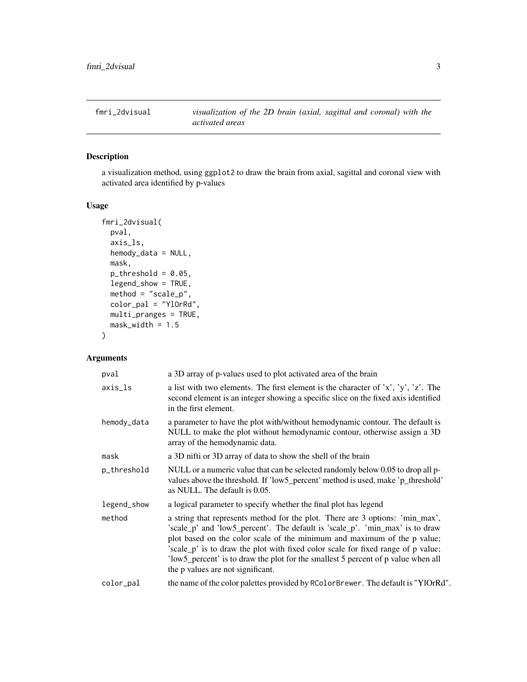<span id="page-2-0"></span>

a visualization method, using ggplot2 to draw the brain from axial, sagittal and coronal view with activated area identified by p-values

#### Usage

```
fmri_2dvisual(
 pval,
 axis_ls,
 hemody_data = NULL,
 mask,
 p_{th}reshold = 0.05,
 legend_show = TRUE,
 method = "scale_p",
 color_pal = "YlOrRd",
 multi_pranges = TRUE,
 mask\_width = 1.5)
```
# Arguments

| pval        | a 3D array of p-values used to plot activated area of the brain                                                                                                                                                                                                                                                                                                                                                                                         |
|-------------|---------------------------------------------------------------------------------------------------------------------------------------------------------------------------------------------------------------------------------------------------------------------------------------------------------------------------------------------------------------------------------------------------------------------------------------------------------|
| axis_ls     | a list with two elements. The first element is the character of 'x', 'y', 'z'. The<br>second element is an integer showing a specific slice on the fixed axis identified<br>in the first element.                                                                                                                                                                                                                                                       |
| hemody_data | a parameter to have the plot with/without hemodynamic contour. The default is<br>NULL to make the plot without hemodynamic contour, otherwise assign a 3D<br>array of the hemodynamic data.                                                                                                                                                                                                                                                             |
| mask        | a 3D nifti or 3D array of data to show the shell of the brain                                                                                                                                                                                                                                                                                                                                                                                           |
| p_threshold | NULL or a numeric value that can be selected randomly below 0.05 to drop all p-<br>values above the threshold. If 'low5_percent' method is used, make 'p_threshold'<br>as NULL. The default is 0.05.                                                                                                                                                                                                                                                    |
| legend_show | a logical parameter to specify whether the final plot has legend                                                                                                                                                                                                                                                                                                                                                                                        |
| method      | a string that represents method for the plot. There are 3 options: 'min_max',<br>'scale_p' and 'low5_percent'. The default is 'scale_p'. 'min_max' is to draw<br>plot based on the color scale of the minimum and maximum of the p value;<br>'scale_p' is to draw the plot with fixed color scale for fixed range of p value;<br>'low5_percent' is to draw the plot for the smallest 5 percent of p value when all<br>the p values are not significant. |
| color_pal   | the name of the color palettes provided by RColorBrewer. The default is "YlOrRd".                                                                                                                                                                                                                                                                                                                                                                       |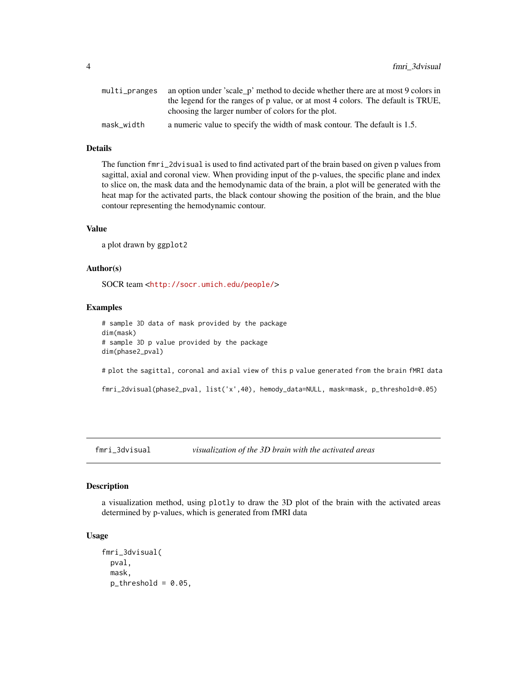<span id="page-3-0"></span>

|            | multi_pranges an option under 'scale p' method to decide whether there are at most 9 colors in |
|------------|------------------------------------------------------------------------------------------------|
|            | the legend for the ranges of p value, or at most 4 colors. The default is TRUE,                |
|            | choosing the larger number of colors for the plot.                                             |
| mask width | a numeric value to specify the width of mask contour. The default is 1.5.                      |

# Details

The function fmri\_2dvisual is used to find activated part of the brain based on given p values from sagittal, axial and coronal view. When providing input of the p-values, the specific plane and index to slice on, the mask data and the hemodynamic data of the brain, a plot will be generated with the heat map for the activated parts, the black contour showing the position of the brain, and the blue contour representing the hemodynamic contour.

#### Value

a plot drawn by ggplot2

#### Author(s)

SOCR team <<http://socr.umich.edu/people/>>

#### Examples

# sample 3D data of mask provided by the package dim(mask) # sample 3D p value provided by the package dim(phase2\_pval)

# plot the sagittal, coronal and axial view of this p value generated from the brain fMRI data

fmri\_2dvisual(phase2\_pval, list('x',40), hemody\_data=NULL, mask=mask, p\_threshold=0.05)

fmri\_3dvisual *visualization of the 3D brain with the activated areas*

#### Description

a visualization method, using plotly to draw the 3D plot of the brain with the activated areas determined by p-values, which is generated from fMRI data

#### Usage

```
fmri_3dvisual(
 pval,
 mask,
 p_{th}reshold = 0.05,
```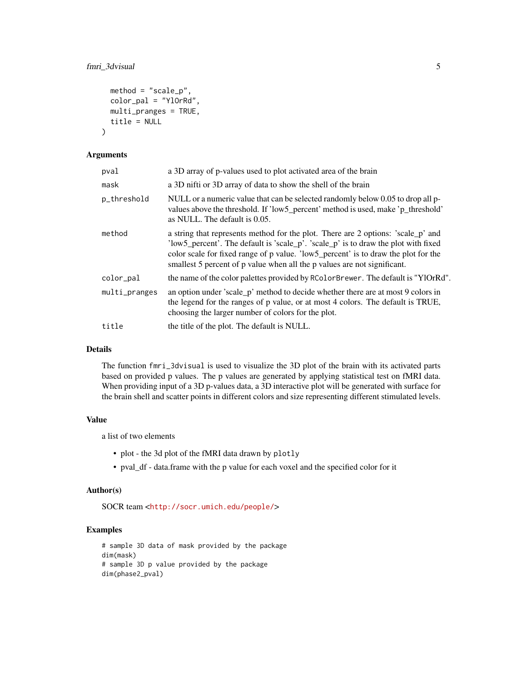```
method = "scale_p",color_pal = "YlOrRd",
 multi_pranges = TRUE,
  title = NULL
)
```
#### Arguments

| pval          | a 3D array of p-values used to plot activated area of the brain                                                                                                                                                                                                                                                                          |
|---------------|------------------------------------------------------------------------------------------------------------------------------------------------------------------------------------------------------------------------------------------------------------------------------------------------------------------------------------------|
| mask          | a 3D nifti or 3D array of data to show the shell of the brain                                                                                                                                                                                                                                                                            |
| p_threshold   | NULL or a numeric value that can be selected randomly below 0.05 to drop all p-<br>values above the threshold. If 'low5_percent' method is used, make 'p_threshold'<br>as NULL. The default is 0.05.                                                                                                                                     |
| method        | a string that represents method for the plot. There are 2 options: 'scale_p' and<br>'low5_percent'. The default is 'scale_p'. 'scale_p' is to draw the plot with fixed<br>color scale for fixed range of p value. 'low5_percent' is to draw the plot for the<br>smallest 5 percent of p value when all the p values are not significant. |
| color_pal     | the name of the color palettes provided by RColorBrewer. The default is "YlOrRd".                                                                                                                                                                                                                                                        |
| multi_pranges | an option under 'scale_p' method to decide whether there are at most 9 colors in<br>the legend for the ranges of p value, or at most 4 colors. The default is TRUE,<br>choosing the larger number of colors for the plot.                                                                                                                |
| title         | the title of the plot. The default is NULL.                                                                                                                                                                                                                                                                                              |
|               |                                                                                                                                                                                                                                                                                                                                          |

# Details

The function fmri\_3dvisual is used to visualize the 3D plot of the brain with its activated parts based on provided p values. The p values are generated by applying statistical test on fMRI data. When providing input of a 3D p-values data, a 3D interactive plot will be generated with surface for the brain shell and scatter points in different colors and size representing different stimulated levels.

# Value

a list of two elements

- plot the 3d plot of the fMRI data drawn by plotly
- pval\_df data.frame with the p value for each voxel and the specified color for it

#### Author(s)

SOCR team <<http://socr.umich.edu/people/>>

```
# sample 3D data of mask provided by the package
dim(mask)
# sample 3D p value provided by the package
dim(phase2_pval)
```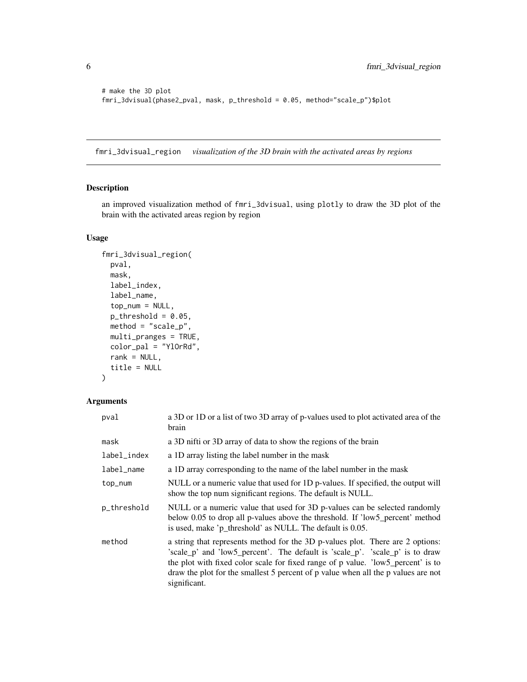```
# make the 3D plot
fmri_3dvisual(phase2_pval, mask, p_threshold = 0.05, method="scale_p")$plot
```
fmri\_3dvisual\_region *visualization of the 3D brain with the activated areas by regions*

# Description

an improved visualization method of fmri\_3dvisual, using plotly to draw the 3D plot of the brain with the activated areas region by region

#### Usage

```
fmri_3dvisual_region(
  pval,
 mask,
 label_index,
 label_name,
  top\_num = NULL,p_{th}reshold = 0.05,
 method = "scale_p",
 multi_pranges = TRUE,
 color_pal = "YlOrRd",
  rank = NULL,
  title = NULL
)
```
# Arguments

| pval        | a 3D or 1D or a list of two 3D array of p-values used to plot activated area of the<br>brain                                                                                                                                                                                                                                                            |
|-------------|---------------------------------------------------------------------------------------------------------------------------------------------------------------------------------------------------------------------------------------------------------------------------------------------------------------------------------------------------------|
| mask        | a 3D nifti or 3D array of data to show the regions of the brain                                                                                                                                                                                                                                                                                         |
| label_index | a 1D array listing the label number in the mask                                                                                                                                                                                                                                                                                                         |
| label_name  | a 1D array corresponding to the name of the label number in the mask                                                                                                                                                                                                                                                                                    |
| top_num     | NULL or a numeric value that used for 1D p-values. If specified, the output will<br>show the top num significant regions. The default is NULL.                                                                                                                                                                                                          |
| p_threshold | NULL or a numeric value that used for 3D p-values can be selected randomly<br>below 0.05 to drop all p-values above the threshold. If 'low5_percent' method<br>is used, make 'p_threshold' as NULL. The default is 0.05.                                                                                                                                |
| method      | a string that represents method for the 3D p-values plot. There are 2 options:<br>'scale_p' and 'low5_percent'. The default is 'scale_p'. 'scale_p' is to draw<br>the plot with fixed color scale for fixed range of p value. 'low5_percent' is to<br>draw the plot for the smallest 5 percent of p value when all the p values are not<br>significant. |

<span id="page-5-0"></span>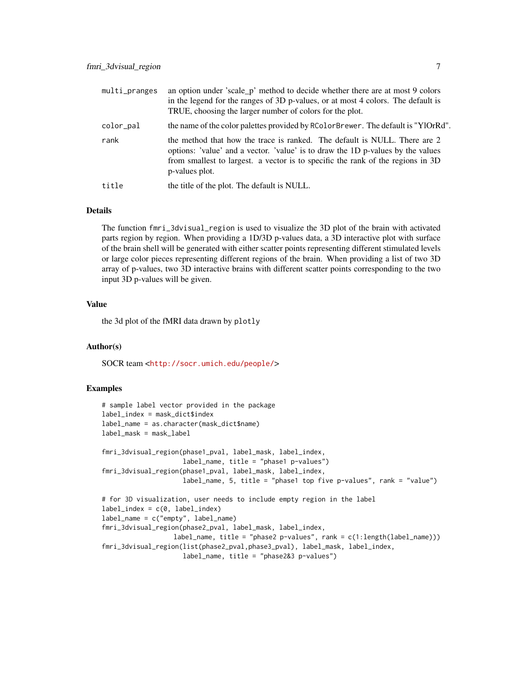| multi_pranges | an option under 'scale_p' method to decide whether there are at most 9 colors<br>in the legend for the ranges of 3D p-values, or at most 4 colors. The default is<br>TRUE, choosing the larger number of colors for the plot.                                     |
|---------------|-------------------------------------------------------------------------------------------------------------------------------------------------------------------------------------------------------------------------------------------------------------------|
| color_pal     | the name of the color palettes provided by RColorBrewer. The default is "YlOrRd".                                                                                                                                                                                 |
| rank          | the method that how the trace is ranked. The default is NULL. There are 2<br>options: 'value' and a vector. 'value' is to draw the 1D p-values by the values<br>from smallest to largest. a vector is to specific the rank of the regions in 3D<br>p-values plot. |
| title         | the title of the plot. The default is NULL.                                                                                                                                                                                                                       |

#### Details

The function fmri\_3dvisual\_region is used to visualize the 3D plot of the brain with activated parts region by region. When providing a 1D/3D p-values data, a 3D interactive plot with surface of the brain shell will be generated with either scatter points representing different stimulated levels or large color pieces representing different regions of the brain. When providing a list of two 3D array of p-values, two 3D interactive brains with different scatter points corresponding to the two input 3D p-values will be given.

#### Value

the 3d plot of the fMRI data drawn by plotly

#### Author(s)

SOCR team <<http://socr.umich.edu/people/>>

```
# sample label vector provided in the package
label_index = mask_dict$index
label_name = as.character(mask_dict$name)
label_mask = mask_label
fmri_3dvisual_region(phase1_pval, label_mask, label_index,
                     label_name, title = "phase1 p-values")
fmri_3dvisual_region(phase1_pval, label_mask, label_index,
                     label_name, 5, title = "phase1 top five p-values", rank = "value")
# for 3D visualization, user needs to include empty region in the label
label\_index = c(0, label_index)label_name = c("empty", label_name)
fmri_3dvisual_region(phase2_pval, label_mask, label_index,
                  label_name, title = "phase2 p-values", rank = c(1:length(label_name)))fmri_3dvisual_region(list(phase2_pval,phase3_pval), label_mask, label_index,
                     label_name, title = "phase2&3 p-values")
```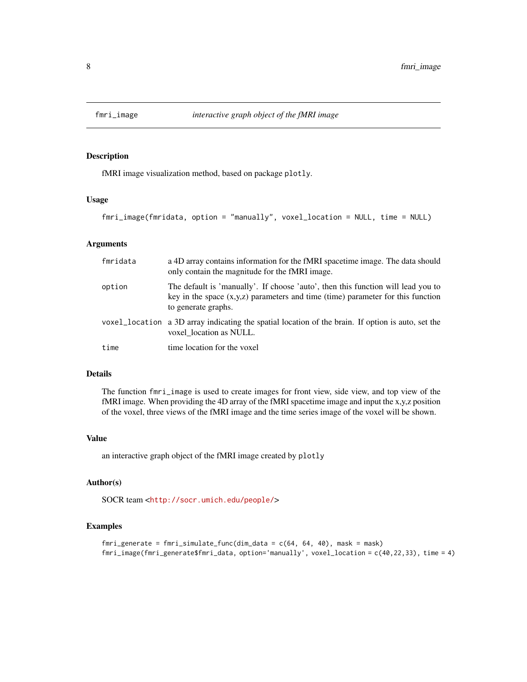<span id="page-7-0"></span>

fMRI image visualization method, based on package plotly.

#### Usage

```
fmri_image(fmridata, option = "manually", voxel_location = NULL, time = NULL)
```
# Arguments

| fmridata | a 4D array contains information for the fMRI spacetime image. The data should<br>only contain the magnitude for the fMRI image.                                                              |
|----------|----------------------------------------------------------------------------------------------------------------------------------------------------------------------------------------------|
| option   | The default is 'manually'. If choose 'auto', then this function will lead you to<br>key in the space $(x,y,z)$ parameters and time (time) parameter for this function<br>to generate graphs. |
|          | voxel_location a 3D array indicating the spatial location of the brain. If option is auto, set the<br>voxel location as NULL.                                                                |
| time     | time location for the voxel                                                                                                                                                                  |

### Details

The function fmri\_image is used to create images for front view, side view, and top view of the fMRI image. When providing the 4D array of the fMRI spacetime image and input the x,y,z position of the voxel, three views of the fMRI image and the time series image of the voxel will be shown.

#### Value

an interactive graph object of the fMRI image created by plotly

## Author(s)

SOCR team <<http://socr.umich.edu/people/>>

```
fmri_generate = fmri_simulate_func(dim_data = c(64, 64, 40), mask = mask)
fmri_image(fmri_generate$fmri_data, option='manually', voxel_location = c(40,22,33), time = 4)
```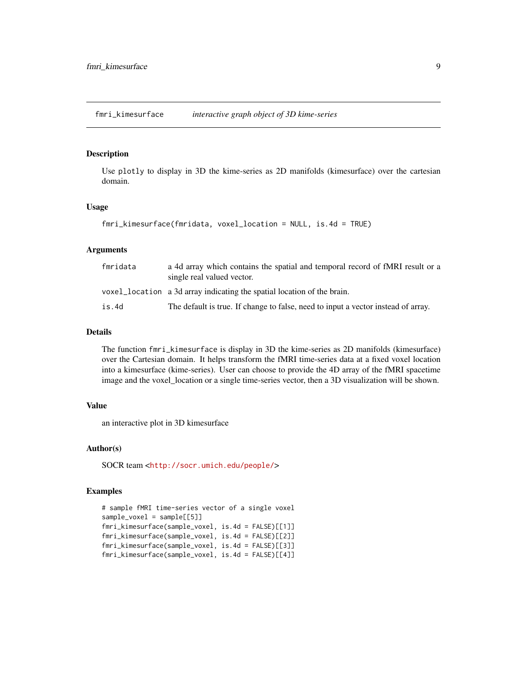<span id="page-8-0"></span>fmri\_kimesurface *interactive graph object of 3D kime-series*

#### Description

Use plotly to display in 3D the kime-series as 2D manifolds (kimesurface) over the cartesian domain.

#### Usage

```
fmri_kimesurface(fmridata, voxel_location = NULL, is.4d = TRUE)
```
#### Arguments

| fmridata | a 4d array which contains the spatial and temporal record of fMRI result or a<br>single real valued vector. |
|----------|-------------------------------------------------------------------------------------------------------------|
|          | voxel location a 3d array indicating the spatial location of the brain.                                     |
| is.4d    | The default is true. If change to false, need to input a vector instead of array.                           |

# Details

The function fmri\_kimesurface is display in 3D the kime-series as 2D manifolds (kimesurface) over the Cartesian domain. It helps transform the fMRI time-series data at a fixed voxel location into a kimesurface (kime-series). User can choose to provide the 4D array of the fMRI spacetime image and the voxel\_location or a single time-series vector, then a 3D visualization will be shown.

#### Value

an interactive plot in 3D kimesurface

#### Author(s)

SOCR team <<http://socr.umich.edu/people/>>

```
# sample fMRI time-series vector of a single voxel
sample_voxel = sample[[5]]
fmri_kimesurface(sample_voxel, is.4d = FALSE)[[1]]
fmri_kimesurface(sample_voxel, is.4d = FALSE)[[2]]
fmri_kimesurface(sample_voxel, is.4d = FALSE)[[3]]
fmri_kimesurface(sample_voxel, is.4d = FALSE)[[4]]
```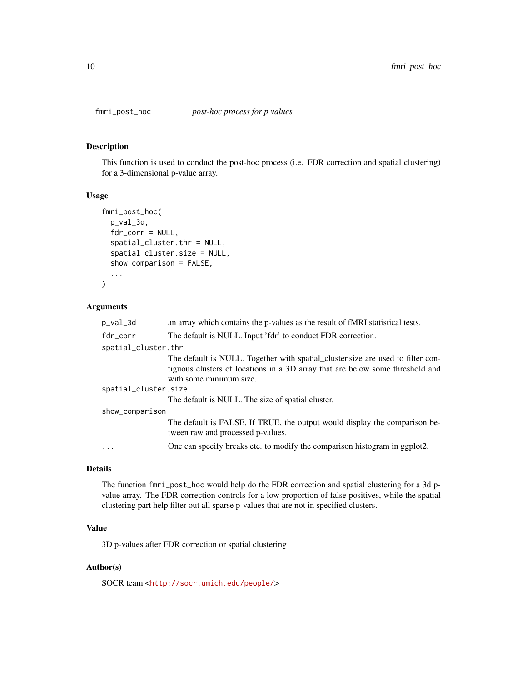<span id="page-9-0"></span>

This function is used to conduct the post-hoc process (i.e. FDR correction and spatial clustering) for a 3-dimensional p-value array.

#### Usage

```
fmri_post_hoc(
 p_val_3d,
 fdr_corr = NULL,
  spatial_cluster.thr = NULL,
  spatial_cluster.size = NULL,
  show_comparison = FALSE,
  ...
)
```
#### Arguments

| p_val_3d             | an array which contains the p-values as the result of fMRI statistical tests.                                                                                                               |
|----------------------|---------------------------------------------------------------------------------------------------------------------------------------------------------------------------------------------|
| fdr_corr             | The default is NULL. Input 'fdr' to conduct FDR correction.                                                                                                                                 |
| spatial_cluster.thr  |                                                                                                                                                                                             |
|                      | The default is NULL. Together with spatial_cluster.size are used to filter con-<br>tiguous clusters of locations in a 3D array that are below some threshold and<br>with some minimum size. |
| spatial_cluster.size |                                                                                                                                                                                             |
|                      | The default is NULL. The size of spatial cluster.                                                                                                                                           |
| show_comparison      |                                                                                                                                                                                             |
|                      | The default is FALSE. If TRUE, the output would display the comparison be-<br>tween raw and processed p-values.                                                                             |
| $\cdots$             | One can specify breaks etc. to modify the comparison histogram in ggplot2.                                                                                                                  |
|                      |                                                                                                                                                                                             |

# Details

The function fmri\_post\_hoc would help do the FDR correction and spatial clustering for a 3d pvalue array. The FDR correction controls for a low proportion of false positives, while the spatial clustering part help filter out all sparse p-values that are not in specified clusters.

# Value

3D p-values after FDR correction or spatial clustering

# Author(s)

SOCR team <<http://socr.umich.edu/people/>>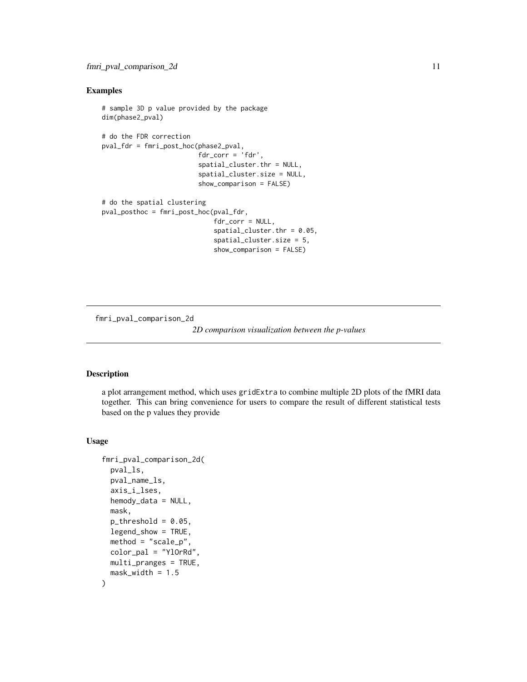#### <span id="page-10-0"></span>Examples

```
# sample 3D p value provided by the package
dim(phase2_pval)
# do the FDR correction
pval_fdr = fmri_post_hoc(phase2_pval,
                          <sup>n</sup> fdr_corr = 'fdr',</sup>
                          spatial_cluster.thr = NULL,
                          spatial_cluster.size = NULL,
                          show_comparison = FALSE)
# do the spatial clustering
pval_posthoc = fmri_post_hoc(pval_fdr,
                               fdr_corr = NULL,
                               spatial_cluster.thr = 0.05,
                               spatial_cluster.size = 5,
                               show_comparison = FALSE)
```
fmri\_pval\_comparison\_2d

*2D comparison visualization between the p-values*

#### Description

a plot arrangement method, which uses gridExtra to combine multiple 2D plots of the fMRI data together. This can bring convenience for users to compare the result of different statistical tests based on the p values they provide

# Usage

```
fmri_pval_comparison_2d(
 pval_ls,
 pval_name_ls,
  axis_i_lses,
 hemody_data = NULL,
 mask,
 p_{th}reshold = 0.05,
  legend_show = TRUE,
 method = "scale_p",
 color_pal = "YlOrRd",
 multi_pranges = TRUE,
 mask\_width = 1.5)
```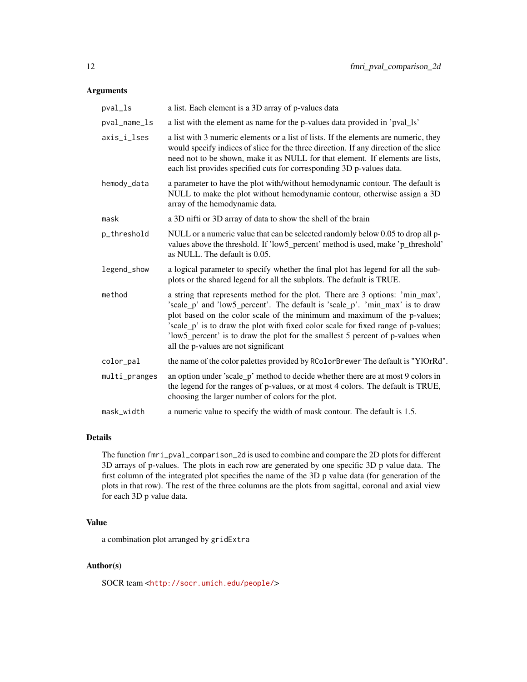#### Arguments

| a list. Each element is a 3D array of p-values data                                                                                                                                                                                                                                                                                                                                                                                                       |
|-----------------------------------------------------------------------------------------------------------------------------------------------------------------------------------------------------------------------------------------------------------------------------------------------------------------------------------------------------------------------------------------------------------------------------------------------------------|
| a list with the element as name for the p-values data provided in 'pval_ls'                                                                                                                                                                                                                                                                                                                                                                               |
| a list with 3 numeric elements or a list of lists. If the elements are numeric, they<br>would specify indices of slice for the three direction. If any direction of the slice<br>need not to be shown, make it as NULL for that element. If elements are lists,<br>each list provides specified cuts for corresponding 3D p-values data.                                                                                                                  |
| a parameter to have the plot with/without hemodynamic contour. The default is<br>NULL to make the plot without hemodynamic contour, otherwise assign a 3D<br>array of the hemodynamic data.                                                                                                                                                                                                                                                               |
| a 3D nifti or 3D array of data to show the shell of the brain                                                                                                                                                                                                                                                                                                                                                                                             |
| NULL or a numeric value that can be selected randomly below 0.05 to drop all p-<br>values above the threshold. If 'low5_percent' method is used, make 'p_threshold'<br>as NULL. The default is 0.05.                                                                                                                                                                                                                                                      |
| a logical parameter to specify whether the final plot has legend for all the sub-<br>plots or the shared legend for all the subplots. The default is TRUE.                                                                                                                                                                                                                                                                                                |
| a string that represents method for the plot. There are 3 options: 'min_max',<br>'scale_p' and 'low5_percent'. The default is 'scale_p'. 'min_max' is to draw<br>plot based on the color scale of the minimum and maximum of the p-values;<br>'scale_p' is to draw the plot with fixed color scale for fixed range of p-values;<br>'low5_percent' is to draw the plot for the smallest 5 percent of p-values when<br>all the p-values are not significant |
| the name of the color palettes provided by RColorBrewer The default is "YlOrRd".                                                                                                                                                                                                                                                                                                                                                                          |
| an option under 'scale_p' method to decide whether there are at most 9 colors in<br>the legend for the ranges of p-values, or at most 4 colors. The default is TRUE,<br>choosing the larger number of colors for the plot.                                                                                                                                                                                                                                |
| a numeric value to specify the width of mask contour. The default is 1.5.                                                                                                                                                                                                                                                                                                                                                                                 |
|                                                                                                                                                                                                                                                                                                                                                                                                                                                           |

# Details

The function fmri\_pval\_comparison\_2d is used to combine and compare the 2D plots for different 3D arrays of p-values. The plots in each row are generated by one specific 3D p value data. The first column of the integrated plot specifies the name of the 3D p value data (for generation of the plots in that row). The rest of the three columns are the plots from sagittal, coronal and axial view for each 3D p value data.

# Value

a combination plot arranged by gridExtra

# Author(s)

SOCR team <<http://socr.umich.edu/people/>>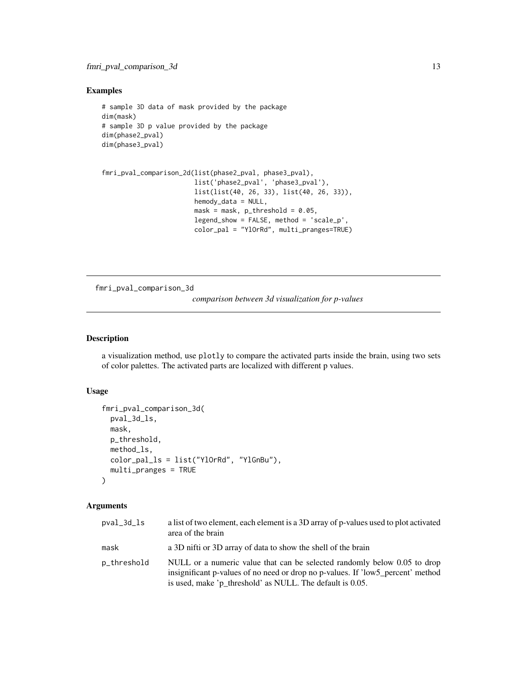# <span id="page-12-0"></span>Examples

```
# sample 3D data of mask provided by the package
dim(mask)
# sample 3D p value provided by the package
dim(phase2_pval)
dim(phase3_pval)
```

```
fmri_pval_comparison_2d(list(phase2_pval, phase3_pval),
                        list('phase2_pval', 'phase3_pval'),
                        list(list(40, 26, 33), list(40, 26, 33)),
                        hemody_data = NULL,
                        mask = mask, p_{\text{th}}reshold = 0.05,
                        legend_show = FALSE, method = 'scale_p',
                        color_pal = "YlOrRd", multi_pranges=TRUE)
```
fmri\_pval\_comparison\_3d

*comparison between 3d visualization for p-values*

#### Description

a visualization method, use plotly to compare the activated parts inside the brain, using two sets of color palettes. The activated parts are localized with different p values.

#### Usage

```
fmri_pval_comparison_3d(
 pval_3d_ls,
 mask,
 p_threshold,
 method_ls,
  color_pal_ls = list("YlOrRd", "YlGnBu"),
  multi_pranges = TRUE
\lambda
```
#### Arguments

| pval_3d_ls  | a list of two element, each element is a 3D array of p-values used to plot activated<br>area of the brain                                                                                                                |
|-------------|--------------------------------------------------------------------------------------------------------------------------------------------------------------------------------------------------------------------------|
| mask        | a 3D nifti or 3D array of data to show the shell of the brain                                                                                                                                                            |
| p_threshold | NULL or a numeric value that can be selected randomly below 0.05 to drop<br>insignificant p-values of no need or drop no p-values. If 'low5 percent' method<br>is used, make 'p_threshold' as NULL. The default is 0.05. |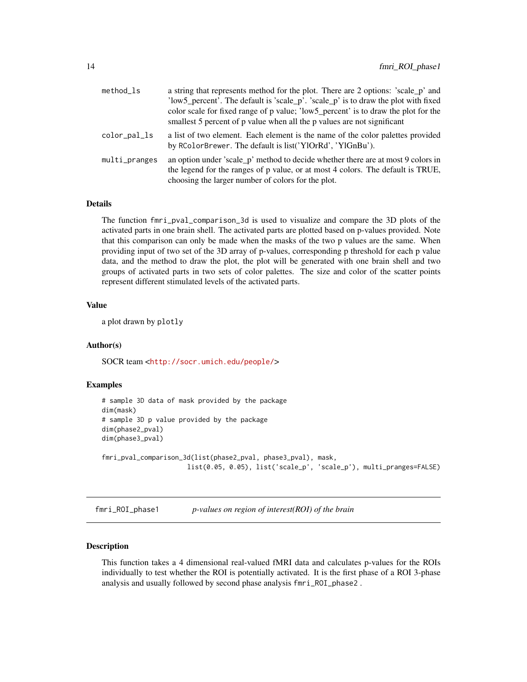<span id="page-13-0"></span>

| a string that represents method for the plot. There are 2 options: 'scale_p' and                                                                                                                                          |
|---------------------------------------------------------------------------------------------------------------------------------------------------------------------------------------------------------------------------|
| 'low5_percent'. The default is 'scale_p'. 'scale_p' is to draw the plot with fixed                                                                                                                                        |
| color scale for fixed range of p value; 'low5_percent' is to draw the plot for the                                                                                                                                        |
| smallest 5 percent of p value when all the p values are not significant                                                                                                                                                   |
| a list of two element. Each element is the name of the color palettes provided<br>by RColorBrewer. The default is list('YlOrRd', 'YlGnBu').                                                                               |
| an option under 'scale_p' method to decide whether there are at most 9 colors in<br>the legend for the ranges of p value, or at most 4 colors. The default is TRUE,<br>choosing the larger number of colors for the plot. |
|                                                                                                                                                                                                                           |

### Details

The function fmri\_pval\_comparison\_3d is used to visualize and compare the 3D plots of the activated parts in one brain shell. The activated parts are plotted based on p-values provided. Note that this comparison can only be made when the masks of the two p values are the same. When providing input of two set of the 3D array of p-values, corresponding p threshold for each p value data, and the method to draw the plot, the plot will be generated with one brain shell and two groups of activated parts in two sets of color palettes. The size and color of the scatter points represent different stimulated levels of the activated parts.

#### Value

a plot drawn by plotly

# Author(s)

SOCR team <<http://socr.umich.edu/people/>>

### Examples

```
# sample 3D data of mask provided by the package
dim(mask)
# sample 3D p value provided by the package
dim(phase2_pval)
dim(phase3_pval)
```

```
fmri_pval_comparison_3d(list(phase2_pval, phase3_pval), mask,
                      list(0.05, 0.05), list('scale_p', 'scale_p'), multi_pranges=FALSE)
```
fmri\_ROI\_phase1 *p-values on region of interest(ROI) of the brain*

## Description

This function takes a 4 dimensional real-valued fMRI data and calculates p-values for the ROIs individually to test whether the ROI is potentially activated. It is the first phase of a ROI 3-phase analysis and usually followed by second phase analysis fmri\_ROI\_phase2 .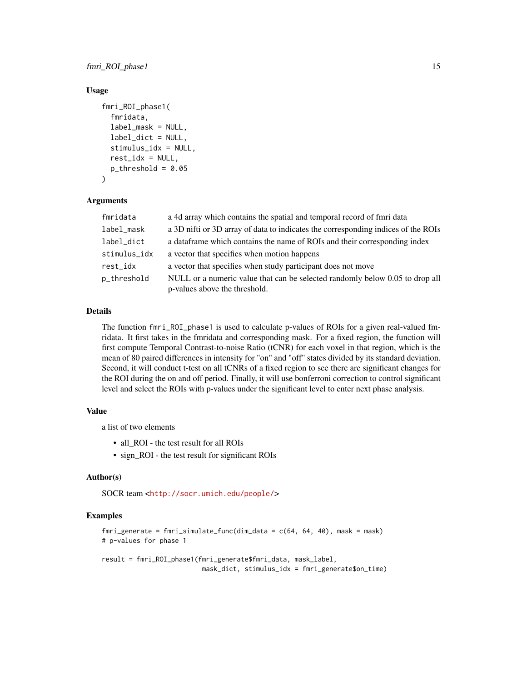fmri\_ROI\_phase1 15

#### Usage

```
fmri_ROI_phase1(
  fmridata,
  label_mask = NULL,
  label_dict = NULL,
  stimulus_idx = NULL,
  rest\_idx = NULL,p_{th}reshold = 0.05
)
```
# Arguments

| fmridata     | a 4d array which contains the spatial and temporal record of fmri data            |
|--------------|-----------------------------------------------------------------------------------|
| label_mask   | a 3D nifti or 3D array of data to indicates the corresponding indices of the ROIs |
| label_dict   | a data frame which contains the name of ROIs and their corresponding index        |
| stimulus_idx | a vector that specifies when motion happens                                       |
| rest_idx     | a vector that specifies when study participant does not move                      |
| p_threshold  | NULL or a numeric value that can be selected randomly below 0.05 to drop all      |
|              | p-values above the threshold.                                                     |

## Details

The function fmri\_ROI\_phase1 is used to calculate p-values of ROIs for a given real-valued fmridata. It first takes in the fmridata and corresponding mask. For a fixed region, the function will first compute Temporal Contrast-to-noise Ratio (tCNR) for each voxel in that region, which is the mean of 80 paired differences in intensity for "on" and "off" states divided by its standard deviation. Second, it will conduct t-test on all tCNRs of a fixed region to see there are significant changes for the ROI during the on and off period. Finally, it will use bonferroni correction to control significant level and select the ROIs with p-values under the significant level to enter next phase analysis.

#### Value

a list of two elements

- all ROI the test result for all ROIs
- sign\_ROI the test result for significant ROIs

# Author(s)

SOCR team <<http://socr.umich.edu/people/>>

#### Examples

```
fmri_generate = fmri_simulate_func(dim_data = c(64, 64, 40), mask = mask)
# p-values for phase 1
result = fmri_ROI_phase1(fmri_generate$fmri_data, mask_label,
```
mask\_dict, stimulus\_idx = fmri\_generate\$on\_time)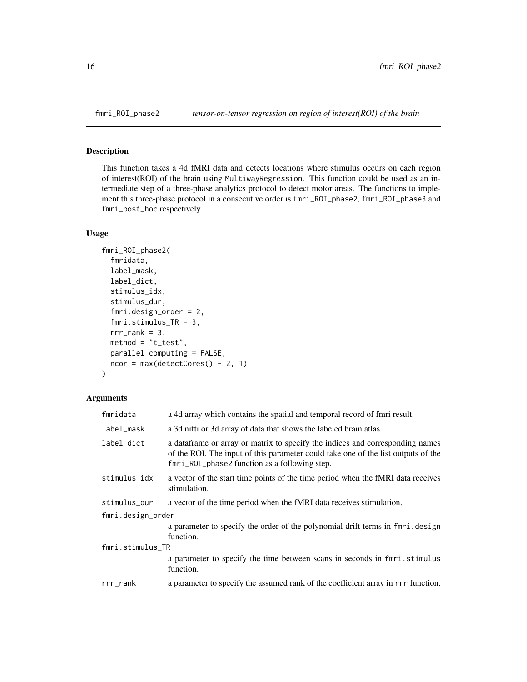This function takes a 4d fMRI data and detects locations where stimulus occurs on each region of interest(ROI) of the brain using MultiwayRegression. This function could be used as an intermediate step of a three-phase analytics protocol to detect motor areas. The functions to implement this three-phase protocol in a consecutive order is fmri\_ROI\_phase2, fmri\_ROI\_phase3 and fmri\_post\_hoc respectively.

#### Usage

```
fmri_ROI_phase2(
  fmridata,
  label_mask,
  label_dict,
  stimulus_idx,
  stimulus_dur,
  fmri.design_order = 2,
  fmri.stimulus_TR = 3,
  rrr_rank = 3,
 method = "t_test",parallel_computing = FALSE,
  ncor = max(detectCores() - 2, 1))
```
# Arguments

| fmridata          | a 4d array which contains the spatial and temporal record of fmri result.                                                                                                                                            |  |
|-------------------|----------------------------------------------------------------------------------------------------------------------------------------------------------------------------------------------------------------------|--|
| label_mask        | a 3d nifti or 3d array of data that shows the labeled brain atlas.                                                                                                                                                   |  |
| label_dict        | a data frame or array or matrix to specify the indices and corresponding names<br>of the ROI. The input of this parameter could take one of the list outputs of the<br>fmri_ROI_phase2 function as a following step. |  |
| stimulus_idx      | a vector of the start time points of the time period when the fMRI data receives<br>stimulation.                                                                                                                     |  |
| stimulus_dur      | a vector of the time period when the fMRI data receives stimulation.                                                                                                                                                 |  |
| fmri.design_order |                                                                                                                                                                                                                      |  |
|                   | a parameter to specify the order of the polynomial drift terms in fmri.design<br>function.                                                                                                                           |  |
| fmri.stimulus_TR  |                                                                                                                                                                                                                      |  |
|                   | a parameter to specify the time between scans in seconds in fmri.stimulus<br>function.                                                                                                                               |  |
| $rrr$ _ $rank$    | a parameter to specify the assumed rank of the coefficient array in $rrr$ function.                                                                                                                                  |  |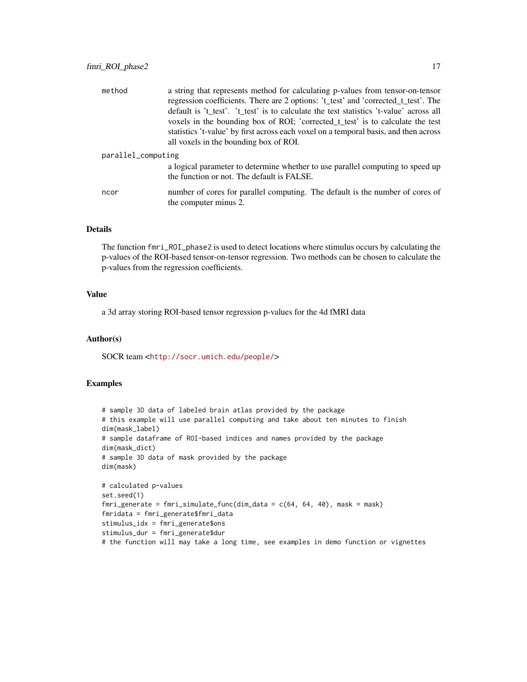| method             | a string that represents method for calculating p-values from tensor-on-tensor<br>regression coefficients. There are 2 options: 't_test' and 'corrected_t_test'. The |  |
|--------------------|----------------------------------------------------------------------------------------------------------------------------------------------------------------------|--|
|                    | default is 't_test'. 't_test' is to calculate the test statistics 't-value' across all                                                                               |  |
|                    | voxels in the bounding box of ROI; 'corrected_t_test' is to calculate the test                                                                                       |  |
|                    | statistics 't-value' by first across each voxel on a temporal basis, and then across                                                                                 |  |
|                    | all voxels in the bounding box of ROI.                                                                                                                               |  |
| parallel_computing |                                                                                                                                                                      |  |
|                    | a logical parameter to determine whether to use parallel computing to speed up<br>the function or not. The default is FALSE.                                         |  |
| ncor               | number of cores for parallel computing. The default is the number of cores of<br>the computer minus 2.                                                               |  |

#### Details

The function fmri\_ROI\_phase2 is used to detect locations where stimulus occurs by calculating the p-values of the ROI-based tensor-on-tensor regression. Two methods can be chosen to calculate the p-values from the regression coefficients.

# Value

a 3d array storing ROI-based tensor regression p-values for the 4d fMRI data

#### Author(s)

SOCR team <<http://socr.umich.edu/people/>>

```
# sample 3D data of labeled brain atlas provided by the package
# this example will use parallel computing and take about ten minutes to finish
dim(mask_label)
# sample dataframe of ROI-based indices and names provided by the package
dim(mask_dict)
# sample 3D data of mask provided by the package
dim(mask)
# calculated p-values
set.seed(1)
fmri_generate = fmri_simulate_func(dim_data = c(64, 64, 40), mask = mask)
fmridata = fmri_generate$fmri_data
stimulus_idx = fmri_generate$ons
stimulus_dur = fmri_generate$dur
# the function will may take a long time, see examples in demo function or vignettes
```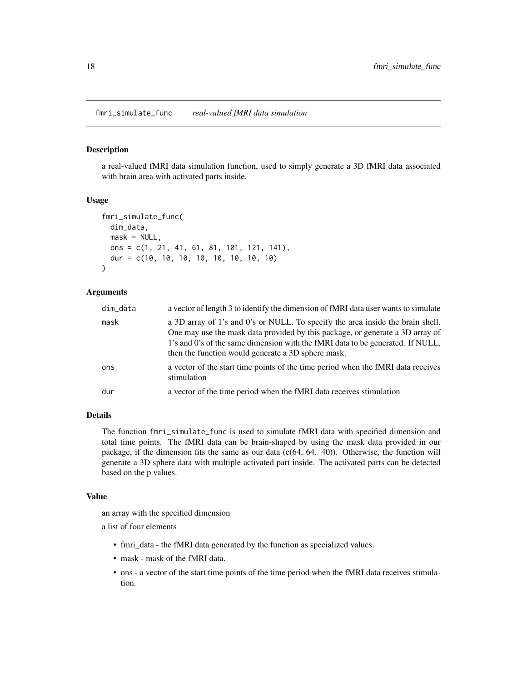<span id="page-17-0"></span>a real-valued fMRI data simulation function, used to simply generate a 3D fMRI data associated with brain area with activated parts inside.

#### Usage

```
fmri_simulate_func(
  dim_data,
 mask = NULL,ons = c(1, 21, 41, 61, 81, 101, 121, 141),
  dur = c(10, 10, 10, 10, 10, 10, 10, 10)
)
```
#### Arguments

| dim_data | a vector of length 3 to identify the dimension of fMRI data user wants to simulate                                                                                                                                                                                                                      |
|----------|---------------------------------------------------------------------------------------------------------------------------------------------------------------------------------------------------------------------------------------------------------------------------------------------------------|
| mask     | a 3D array of 1's and 0's or NULL. To specify the area inside the brain shell.<br>One may use the mask data provided by this package, or generate a 3D array of<br>1's and 0's of the same dimension with the fMRI data to be generated. If NULL,<br>then the function would generate a 3D sphere mask. |
| ons      | a vector of the start time points of the time period when the fMRI data receives<br>stimulation                                                                                                                                                                                                         |
| dur      | a vector of the time period when the fMRI data receives stimulation                                                                                                                                                                                                                                     |

#### Details

The function fmri\_simulate\_func is used to simulate fMRI data with specified dimension and total time points. The fMRI data can be brain-shaped by using the mask data provided in our package, if the dimension fits the same as our data  $(c(64, 64, 40))$ . Otherwise, the function will generate a 3D sphere data with multiple activated part inside. The activated parts can be detected based on the p values.

# Value

an array with the specified dimension

a list of four elements

- fmri\_data the fMRI data generated by the function as specialized values.
- mask mask of the fMRI data.
- ons a vector of the start time points of the time period when the fMRI data receives stimulation.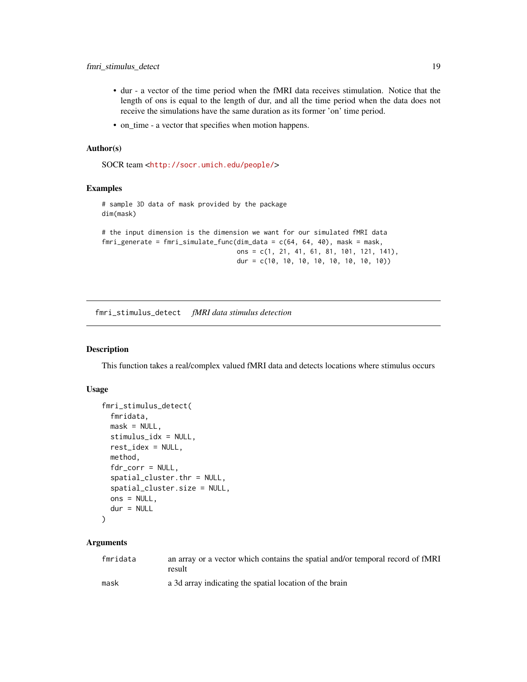- <span id="page-18-0"></span>• dur - a vector of the time period when the fMRI data receives stimulation. Notice that the length of ons is equal to the length of dur, and all the time period when the data does not receive the simulations have the same duration as its former 'on' time period.
- on\_time a vector that specifies when motion happens.

#### Author(s)

SOCR team <<http://socr.umich.edu/people/>>

#### Examples

# sample 3D data of mask provided by the package dim(mask)

```
# the input dimension is the dimension we want for our simulated fMRI data
fmri_generate = fmri_simulate_func(dim_data = c(64, 64, 40), mask = mask,
                                   ons = c(1, 21, 41, 61, 81, 101, 121, 141),
                                   dur = c(10, 10, 10, 10, 10, 10, 10, 10))
```
fmri\_stimulus\_detect *fMRI data stimulus detection*

#### Description

This function takes a real/complex valued fMRI data and detects locations where stimulus occurs

# Usage

```
fmri_stimulus_detect(
  fmridata,
 mask = NULL,stimulus_idx = NULL,
  rest_idex = NULL,
 method,
  fdr_corr = NULL,
  spatial_cluster.thr = NULL,
  spatial_cluster.size = NULL,
  ons = NULL,
  dur = NULL)
```
#### Arguments

| fmridata | an array or a vector which contains the spatial and/or temporal record of fMRI<br>result |
|----------|------------------------------------------------------------------------------------------|
| mask     | a 3d array indicating the spatial location of the brain                                  |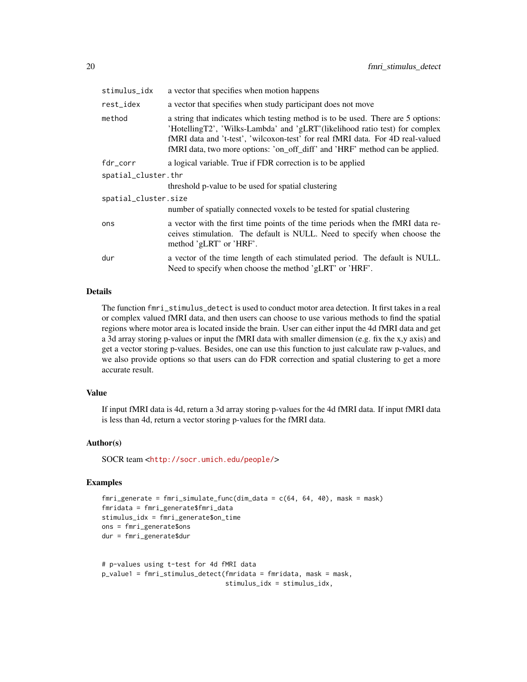| stimulus_idx         | a vector that specifies when motion happens                                                                                                                                                                                                                                                                                      |
|----------------------|----------------------------------------------------------------------------------------------------------------------------------------------------------------------------------------------------------------------------------------------------------------------------------------------------------------------------------|
| rest_idex            | a vector that specifies when study participant does not move                                                                                                                                                                                                                                                                     |
| method               | a string that indicates which testing method is to be used. There are 5 options:<br>'HotellingT2', 'Wilks-Lambda' and 'gLRT'(likelihood ratio test) for complex<br>fMRI data and 't-test', 'wilcoxon-test' for real fMRI data. For 4D real-valued<br>fMRI data, two more options: 'on_off_diff' and 'HRF' method can be applied. |
| fdr_corr             | a logical variable. True if FDR correction is to be applied                                                                                                                                                                                                                                                                      |
| spatial_cluster.thr  |                                                                                                                                                                                                                                                                                                                                  |
|                      | threshold p-value to be used for spatial clustering                                                                                                                                                                                                                                                                              |
| spatial_cluster.size |                                                                                                                                                                                                                                                                                                                                  |
|                      | number of spatially connected voxels to be tested for spatial clustering                                                                                                                                                                                                                                                         |
| ons                  | a vector with the first time points of the time periods when the fMRI data re-<br>ceives stimulation. The default is NULL. Need to specify when choose the<br>method 'gLRT' or 'HRF'.                                                                                                                                            |
| dur                  | a vector of the time length of each stimulated period. The default is NULL.<br>Need to specify when choose the method 'gLRT' or 'HRF'.                                                                                                                                                                                           |

# Details

The function fmri\_stimulus\_detect is used to conduct motor area detection. It first takes in a real or complex valued fMRI data, and then users can choose to use various methods to find the spatial regions where motor area is located inside the brain. User can either input the 4d fMRI data and get a 3d array storing p-values or input the fMRI data with smaller dimension (e.g. fix the x,y axis) and get a vector storing p-values. Besides, one can use this function to just calculate raw p-values, and we also provide options so that users can do FDR correction and spatial clustering to get a more accurate result.

#### Value

If input fMRI data is 4d, return a 3d array storing p-values for the 4d fMRI data. If input fMRI data is less than 4d, return a vector storing p-values for the fMRI data.

#### Author(s)

SOCR team <<http://socr.umich.edu/people/>>

```
fmri_generate = fmri_simulate_func(dim_data = c(64, 64, 40), mask = mask)
fmridata = fmri_generate$fmri_data
stimulus_idx = fmri_generate$on_time
ons = fmri_generate$ons
dur = fmri_generate$dur
```

```
# p-values using t-test for 4d fMRI data
p_value1 = fmri_stimulus_detect(fmridata = fmridata, mask = mask,
                               stimulus_idx = stimulus_idx,
```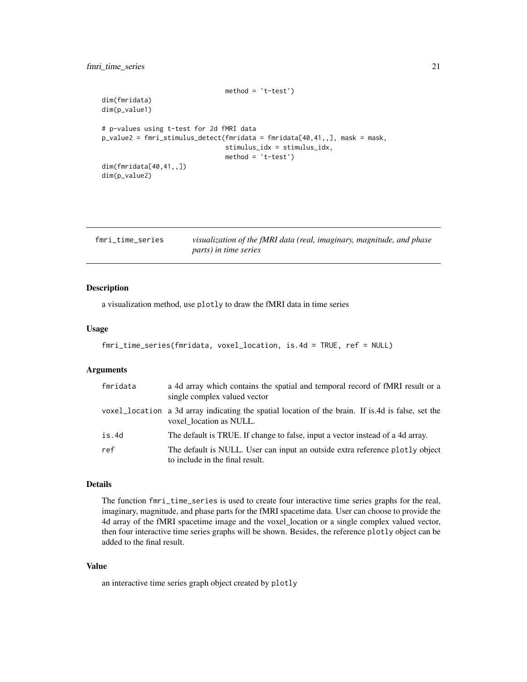```
method = 't-test')dim(fmridata)
dim(p_value1)
# p-values using t-test for 2d fMRI data
p_value2 = fmri_stimulus_detect(fmridata = fmridata[40,41,,], mask = mask,
                                stimulus_idx = stimulus_idx,
                                method = 't-test')
dim(fmridata[40,41,,])
dim(p_value2)
```

| fmri_time_series | visualization of the fMRI data (real, imaginary, magnitude, and phase |  |
|------------------|-----------------------------------------------------------------------|--|
|                  | parts) in time series                                                 |  |

a visualization method, use plotly to draw the fMRI data in time series

#### Usage

```
fmri_time_series(fmridata, voxel_location, is.4d = TRUE, ref = NULL)
```
# Arguments

| fmridata | a 4d array which contains the spatial and temporal record of fMRI result or a<br>single complex valued vector                 |
|----------|-------------------------------------------------------------------------------------------------------------------------------|
|          | voxel_location a 3d array indicating the spatial location of the brain. If is 4d is false, set the<br>voxel location as NULL. |
| is.4d    | The default is TRUE. If change to false, input a vector instead of a 4d array.                                                |
| ref      | The default is NULL. User can input an outside extra reference plotly object<br>to include in the final result.               |

#### Details

The function fmri\_time\_series is used to create four interactive time series graphs for the real, imaginary, magnitude, and phase parts for the fMRI spacetime data. User can choose to provide the 4d array of the fMRI spacetime image and the voxel\_location or a single complex valued vector, then four interactive time series graphs will be shown. Besides, the reference plotly object can be added to the final result.

#### Value

an interactive time series graph object created by plotly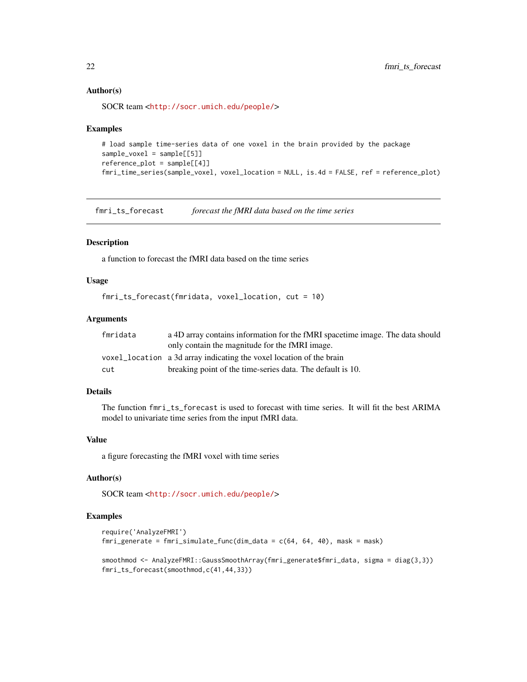#### <span id="page-21-0"></span>Author(s)

SOCR team <<http://socr.umich.edu/people/>>

#### Examples

```
# load sample time-series data of one voxel in the brain provided by the package
sample_voxel = sample[[5]]
reference\_plot = sample[[4]]fmri_time_series(sample_voxel, voxel_location = NULL, is.4d = FALSE, ref = reference_plot)
```
fmri\_ts\_forecast *forecast the fMRI data based on the time series*

# Description

a function to forecast the fMRI data based on the time series

# Usage

```
fmri_ts_forecast(fmridata, voxel_location, cut = 10)
```
# Arguments

| fmridata | a 4D array contains information for the fMRI spacetime image. The data should |
|----------|-------------------------------------------------------------------------------|
|          | only contain the magnitude for the fMRI image.                                |
|          | voxel_location a 3d array indicating the voxel location of the brain          |
| cut      | breaking point of the time-series data. The default is 10.                    |

#### Details

The function fmri\_ts\_forecast is used to forecast with time series. It will fit the best ARIMA model to univariate time series from the input fMRI data.

# Value

a figure forecasting the fMRI voxel with time series

# Author(s)

SOCR team <<http://socr.umich.edu/people/>>

```
require('AnalyzeFMRI')
fmri_generate = fmri_simulate_func(dim_data = c(64, 64, 40), mask = mask)
```

```
smoothmod <- AnalyzeFMRI::GaussSmoothArray(fmri_generate$fmri_data, sigma = diag(3,3))
fmri_ts_forecast(smoothmod,c(41,44,33))
```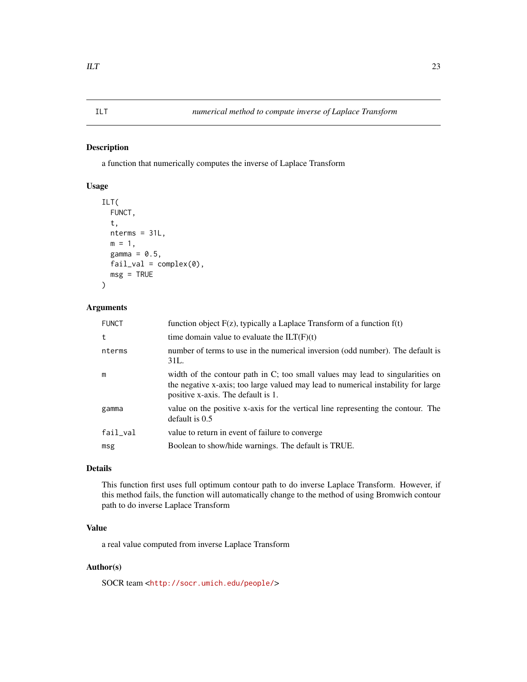<span id="page-22-0"></span>a function that numerically computes the inverse of Laplace Transform

# Usage

```
ILT(
  FUNCT,
  t,
 nterms = 31L,
 m = 1,
  gamma = 0.5,
  fail\_val = complex(0),
  msg = TRUE\mathcal{L}
```
# Arguments

| <b>FUNCT</b> | function object $F(z)$ , typically a Laplace Transform of a function $f(t)$                                                                                                                              |
|--------------|----------------------------------------------------------------------------------------------------------------------------------------------------------------------------------------------------------|
| t            | time domain value to evaluate the $ILT(F)(t)$                                                                                                                                                            |
| nterms       | number of terms to use in the numerical inversion (odd number). The default is<br>31L.                                                                                                                   |
| m            | width of the contour path in C; too small values may lead to singularities on<br>the negative x-axis; too large valued may lead to numerical instability for large<br>positive x-axis. The default is 1. |
| gamma        | value on the positive x-axis for the vertical line representing the contour. The<br>default is $0.5$                                                                                                     |
| fail_val     | value to return in event of failure to converge                                                                                                                                                          |
| msg          | Boolean to show/hide warnings. The default is TRUE.                                                                                                                                                      |
|              |                                                                                                                                                                                                          |

# Details

This function first uses full optimum contour path to do inverse Laplace Transform. However, if this method fails, the function will automatically change to the method of using Bromwich contour path to do inverse Laplace Transform

# Value

a real value computed from inverse Laplace Transform

# Author(s)

SOCR team <<http://socr.umich.edu/people/>>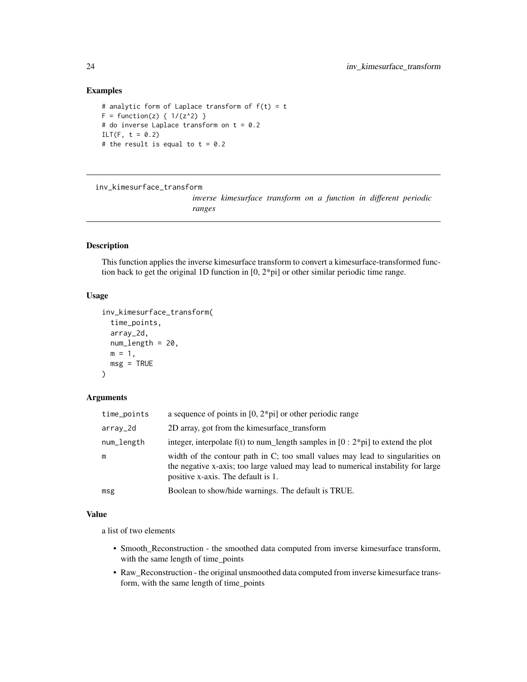#### Examples

```
# analytic form of Laplace transform of f(t) = tF = function(z) { 1/(z^2) }# do inverse Laplace transform on t = 0.2
ILT(F, t = 0.2)
# the result is equal to t = 0.2
```
inv\_kimesurface\_transform

*inverse kimesurface transform on a function in different periodic ranges*

#### Description

This function applies the inverse kimesurface transform to convert a kimesurface-transformed function back to get the original 1D function in [0, 2\*pi] or other similar periodic time range.

#### Usage

```
inv_kimesurface_transform(
  time_points,
  array_2d,
 num_length = 20,
 m = 1,
 msg = TRUE
\lambda
```
# Arguments

| time_points | a sequence of points in $[0, 2^*p$ i or other periodic range                                                                                                                                             |
|-------------|----------------------------------------------------------------------------------------------------------------------------------------------------------------------------------------------------------|
| arrav_2d    | 2D array, got from the kimesurface transform                                                                                                                                                             |
| num_length  | integer, interpolate $f(t)$ to num_length samples in $[0:2*pi]$ to extend the plot                                                                                                                       |
| m           | width of the contour path in C; too small values may lead to singularities on<br>the negative x-axis; too large valued may lead to numerical instability for large<br>positive x-axis. The default is 1. |
| msg         | Boolean to show/hide warnings. The default is TRUE.                                                                                                                                                      |

# Value

a list of two elements

- Smooth\_Reconstruction the smoothed data computed from inverse kimesurface transform, with the same length of time\_points
- Raw\_Reconstruction the original unsmoothed data computed from inverse kimesurface transform, with the same length of time\_points

<span id="page-23-0"></span>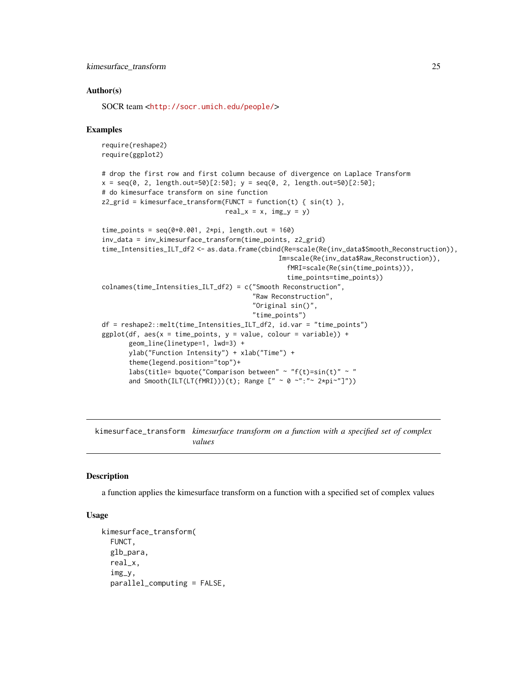#### <span id="page-24-0"></span>Author(s)

SOCR team <<http://socr.umich.edu/people/>>

#### Examples

```
require(reshape2)
require(ggplot2)
# drop the first row and first column because of divergence on Laplace Transform
x = seq(0, 2, length.out=50)[2:50]; y = seq(0, 2, length.out=50)[2:50];# do kimesurface transform on sine function
z2\_grid = kimesurface\_transform(FUNC = function(t) { sin(t) } ,real_x = x, img_y = y)
time_points = seq(0+0.001, 2*pi, length.out = 160)inv_data = inv_kimesurface_transform(time_points, z2_grid)
time_Intensities_ILT_df2 <- as.data.frame(cbind(Re=scale(Re(inv_data$Smooth_Reconstruction)),
                                              Im=scale(Re(inv_data$Raw_Reconstruction)),
                                                fMRI=scale(Re(sin(time_points))),
                                                time_points=time_points))
colnames(time_Intensities_ILT_df2) = c("Smooth Reconstruction",
                                       "Raw Reconstruction",
                                       "Original sin()",
                                       "time_points")
df = reshape2::melt(time_Intensities_ILT_df2, id.var = "time_points")
ggplot(df, aes(x = time\_points, y = value, colour = variable)) +geom_line(linetype=1, lwd=3) +
      ylab("Function Intensity") + xlab("Time") +
      theme(legend.position="top")+
      labs(title= bquote("Comparison between" ~ "f(t)=sin(t)" ~ "
      and Smooth(ILT(LT(fMRI)))(t); Range [" ~ 0 ~":"~ 2*pi~"]"))
```
kimesurface\_transform *kimesurface transform on a function with a specified set of complex values*

#### **Description**

a function applies the kimesurface transform on a function with a specified set of complex values

# Usage

```
kimesurface_transform(
  FUNCT,
  glb_para,
  real_x,
  img_y,
  parallel_computing = FALSE,
```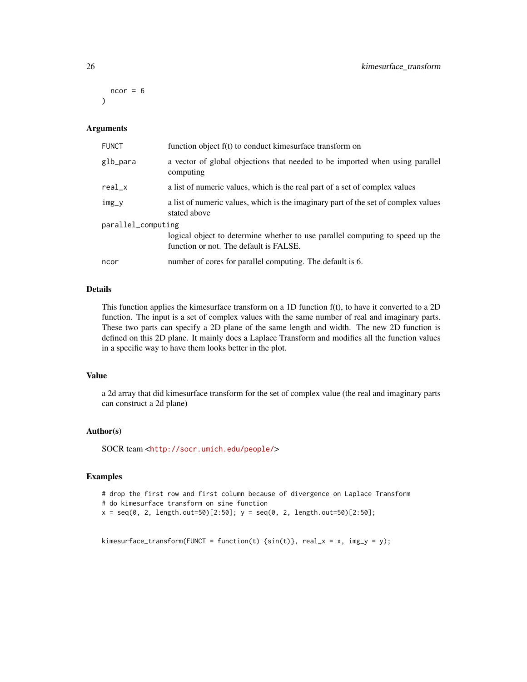$ncor = 6$  $\lambda$ 

#### Arguments

| <b>FUNCT</b>       | function object f(t) to conduct kimesurface transform on                                                                |  |
|--------------------|-------------------------------------------------------------------------------------------------------------------------|--|
| glb_para           | a vector of global objections that needed to be imported when using parallel<br>computing                               |  |
| $real_x$           | a list of numeric values, which is the real part of a set of complex values                                             |  |
| $img_y$            | a list of numeric values, which is the imaginary part of the set of complex values<br>stated above                      |  |
| parallel_computing |                                                                                                                         |  |
|                    | logical object to determine whether to use parallel computing to speed up the<br>function or not. The default is FALSE. |  |
| ncor               | number of cores for parallel computing. The default is 6.                                                               |  |

# Details

This function applies the kimesurface transform on a 1D function f(t), to have it converted to a 2D function. The input is a set of complex values with the same number of real and imaginary parts. These two parts can specify a 2D plane of the same length and width. The new 2D function is defined on this 2D plane. It mainly does a Laplace Transform and modifies all the function values in a specific way to have them looks better in the plot.

## Value

a 2d array that did kimesurface transform for the set of complex value (the real and imaginary parts can construct a 2d plane)

#### Author(s)

SOCR team <<http://socr.umich.edu/people/>>

#### Examples

# drop the first row and first column because of divergence on Laplace Transform # do kimesurface transform on sine function

```
x = \text{seq}(0, 2, \text{length.out}=50)[2:50]; y = \text{seq}(0, 2, \text{length.out}=50)[2:50];
```

```
kimesurface_transform(FUNCT = function(t) {\sin(t)}, real_x = x, img_y = y);
```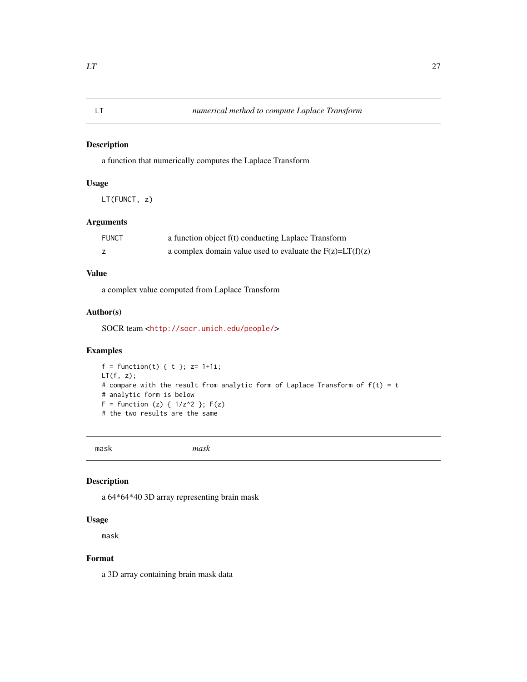<span id="page-26-0"></span>

a function that numerically computes the Laplace Transform

## Usage

LT(FUNCT, z)

# Arguments

| <b>FUNCT</b> | a function object f(t) conducting Laplace Transform           |
|--------------|---------------------------------------------------------------|
|              | a complex domain value used to evaluate the $F(z) = LT(f)(z)$ |

# Value

a complex value computed from Laplace Transform

# Author(s)

SOCR team <<http://socr.umich.edu/people/>>

# Examples

```
f = function(t) \{ t \}; z = 1+1i;
LT(f, z);
# compare with the result from analytic form of Laplace Transform of f(t) = t# analytic form is below
F = function (z) {1/z^2 }; F(z)# the two results are the same
```
mask *mask*

### Description

a 64\*64\*40 3D array representing brain mask

#### Usage

mask

# Format

a 3D array containing brain mask data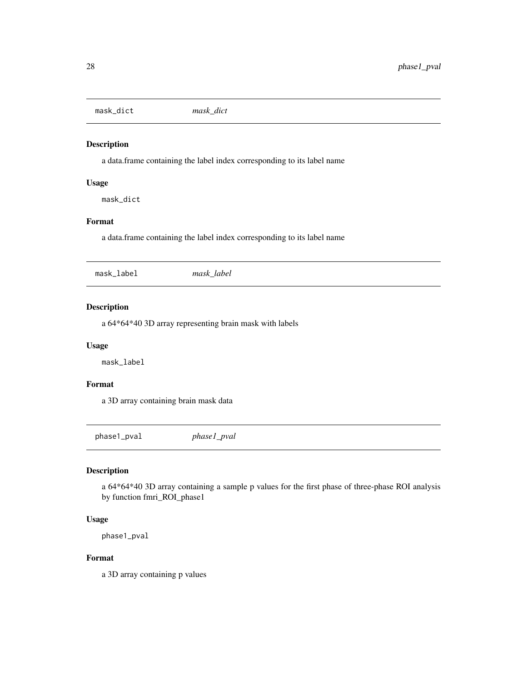<span id="page-27-0"></span>mask\_dict *mask\_dict*

#### Description

a data.frame containing the label index corresponding to its label name

#### Usage

mask\_dict

# Format

a data.frame containing the label index corresponding to its label name

|--|--|--|

# Description

a 64\*64\*40 3D array representing brain mask with labels

#### Usage

mask\_label

# Format

a 3D array containing brain mask data

phase1\_pval *phase1\_pval*

# Description

a 64\*64\*40 3D array containing a sample p values for the first phase of three-phase ROI analysis by function fmri\_ROI\_phase1

#### Usage

```
phase1_pval
```
# Format

a 3D array containing p values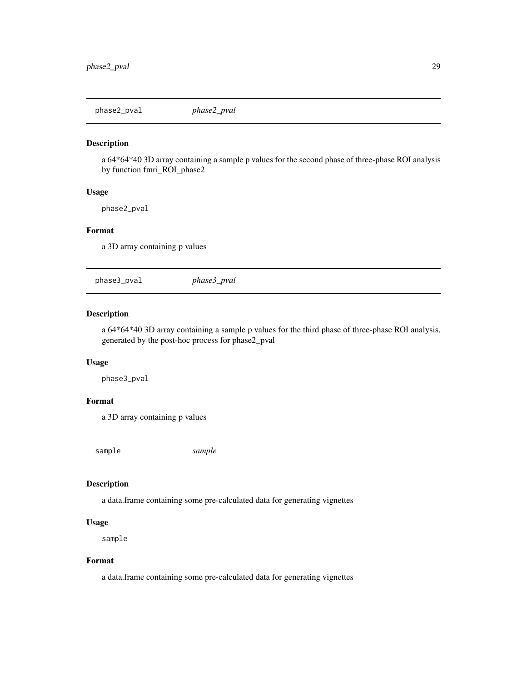<span id="page-28-0"></span>phase2\_pval *phase2\_pval*

# Description

a 64\*64\*40 3D array containing a sample p values for the second phase of three-phase ROI analysis by function fmri\_ROI\_phase2

#### Usage

phase2\_pval

#### Format

a 3D array containing p values

phase3\_pval *phase3\_pval*

# Description

a 64\*64\*40 3D array containing a sample p values for the third phase of three-phase ROI analysis, generated by the post-hoc process for phase2\_pval

# Usage

phase3\_pval

# Format

a 3D array containing p values

sample *sample*

# Description

a data.frame containing some pre-calculated data for generating vignettes

#### Usage

sample

#### Format

a data.frame containing some pre-calculated data for generating vignettes